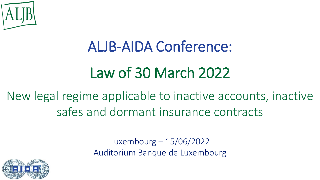

# ALJB-AIDA Conference:

# Law of 30 March 2022

New legal regime applicable to inactive accounts, inactive safes and dormant insurance contracts

> Luxembourg – 15/06/2022 Auditorium Banque de Luxembourg

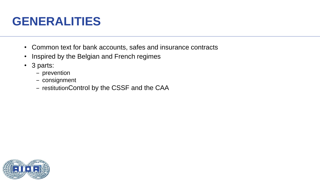# **GENERALITIES**

- Common text for bank accounts, safes and insurance contracts
- Inspired by the Belgian and French regimes
- 3 parts:
	- ‒ prevention
	- consignment
	- restitutionControl by the CSSF and the CAA

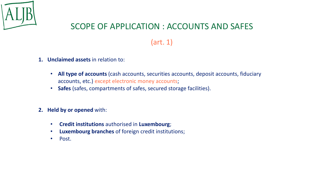

### SCOPE OF APPLICATION : ACCOUNTS AND SAFES

### (art. 1)

- **1. Unclaimed assets** in relation to:
	- **All type of accounts** (cash accounts, securities accounts, deposit accounts, fiduciary accounts, etc.) except electronic money accounts;
	- **Safes** (safes, compartments of safes, secured storage facilities).

#### **2. Held by or opened** with:

- **Credit institutions** authorised in **Luxembourg**;
- **Luxembourg branches** of foreign credit institutions;
- Post.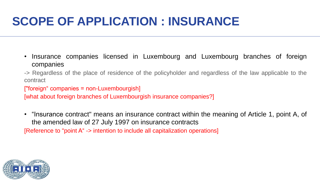# **SCOPE OF APPLICATION : INSURANCE**

- Insurance companies licensed in Luxembourg and Luxembourg branches of foreign companies
- -> Regardless of the place of residence of the policyholder and regardless of the law applicable to the contract
- ["foreign" companies = non-Luxembourgish]

[what about foreign branches of Luxembourgish insurance companies?]

• "Insurance contract" means an insurance contract within the meaning of Article 1, point A, of the amended law of 27 July 1997 on insurance contracts [Reference to "point A" -> intention to include all capitalization operations]

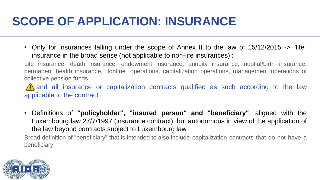# **SCOPE OF APPLICATION: INSURANCE**

• Only for insurances falling under the scope of Annex II to the law of 15/12/2015 -> "life" insurance in the broad sense (not applicable to non-life insurances) :

Life insurance, death insurance, endowment insurance, annuity insurance, nuptial/birth insurance, permanent health insurance, "tontine" operations, capitalization operations, management operations of collective pension funds

A and all insurance or capitalization contracts qualified as such according to the law applicable to the contract

• Definitions of **"policyholder", "insured person" and "beneficiary"**, aligned with the Luxembourg law 27/7/1997 (insurance contract), but autonomous in view of the application of the law beyond contracts subject to Luxembourg law

Broad definition of "beneficiary" that is intended to also include capitalization contracts that do not have a beneficiary

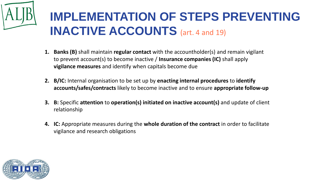

- **1. Banks (B)** shall maintain **regular contact** with the accountholder(s) and remain vigilant to prevent account(s) to become inactive / **Insurance companies (IC)** shall apply **vigilance measures** and identify when capitals become due
- **2. B/IC:** Internal organisation to be set up by **enacting internal procedures** to **identify accounts/safes/contracts** likely to become inactive and to ensure **appropriate follow-up**
- **3. B:** Specific **attention** to **operation(s) initiated on inactive account(s)** and update of client relationship
- **4. IC:** Appropriate measures during the **whole duration of the contract** in order to facilitate vigilance and research obligations

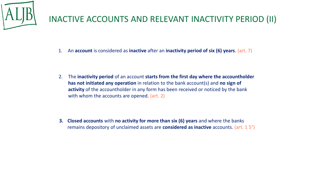

### INACTIVE ACCOUNTS AND RELEVANT INACTIVITY PERIOD (II)

1. An **account** is considered as **inactive** after an **inactivity period of six (6) years**. (art. 7)

2. The **inactivity period** of an account **starts from the first day where the accountholder has not initiated any operation** in relation to the bank account(s) and **no sign of activity** of the accountholder in any form has been received or noticed by the bank with whom the accounts are opened. (art. 2)

**3. Closed accounts** with **no activity for more than six (6) years** and where the banks remains depository of unclaimed assets are **considered as inactive** accounts. (art. 1 5°)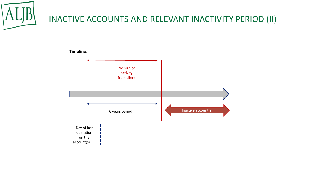

### INACTIVE ACCOUNTS AND RELEVANT INACTIVITY PERIOD (II)

#### **Timeline:**

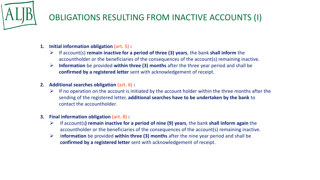

### OBLIGATIONS RESULTING FROM INACTIVE ACCOUNTS (I)

- **1. Initial information obligation (art. 5) :**
	- ➢ If account(s) **remain inactive for a period of three (3) years**, the bank **shall inform** the accountholder or the beneficiaries of the consequences of the account(s) remaining inactive.
	- ➢ **Information** be provided **within three (3) months** after the three year period and shall be **confirmed by a registered letter** sent with acknowledgement of receipt.
- **2. Additional searches obligation (art. 6) :**
	- $\triangleright$  If no operation on the account is initiated by the account holder within the three months after the sending of the registered letter, **additional searches have to be undertaken by the bank** to contact the accountholder.

#### **3. Final information obligation (art. 8) :**

- ➢ If account(s**) remain inactive for a period of nine (9) years**, the bank **shall inform again** the accountholder or the beneficiaries of the consequences of the account(s) remaining inactive.
- ➢ I**nformation** be provided **within three (3) months** after the nine year period and shall be **confirmed by a registered letter** sent with acknowledgement of receipt.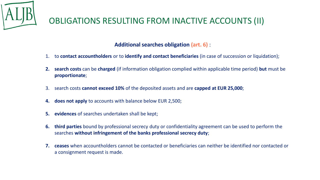

#### **Additional searches obligation (art. 6)** :

- 1. to **contact accountholders** or to **identify and contact beneficiaries** (in case of succession or liquidation);
- **2. search costs** can be **charged** (if information obligation complied within applicable time period) **but** must be **proportionate**;
- 3. search costs **cannot exceed 10%** of the deposited assets and are **capped at EUR 25,000**;
- **4. does not apply** to accounts with balance below EUR 2,500;
- **5. evidences** of searches undertaken shall be kept;
- **6. third parties** bound by professional secrecy duty or confidentiality agreement can be used to perform the searches **without infringement of the banks professional secrecy duty**;
- **7. ceases** when accountholders cannot be contacted or beneficiaries can neither be identified nor contacted or a consignment request is made.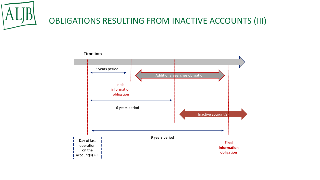

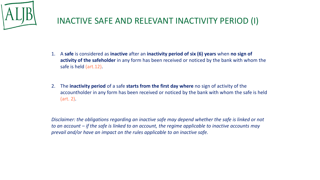

### INACTIVE SAFE AND RELEVANT INACTIVITY PERIOD (I)

- 1. A **safe** is considered as **inactive** after an **inactivity period of six (6) years** when **no sign of activity of the safeholder** in any form has been received or noticed by the bank with whom the safe is held (art.12).
- 2. The **inactivity period** of a safe **starts from the first day where** no sign of activity of the accountholder in any form has been received or noticed by the bank with whom the safe is held (art. 2).

*Disclaimer: the obligations regarding an inactive safe may depend whether the safe is linked or not to an account – if the safe is linked to an account, the regime applicable to inactive accounts may prevail and/or have an impact on the rules applicable to an inactive safe.*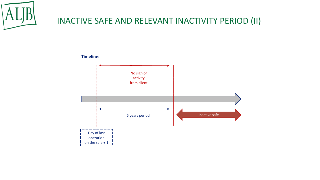

### INACTIVE SAFE AND RELEVANT INACTIVITY PERIOD (II)



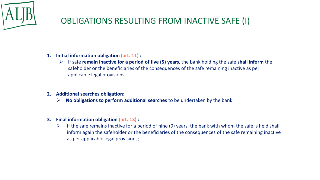

### OBLIGATIONS RESULTING FROM INACTIVE SAFE (I)

- **1. Initial information obligation (art. 11) :**
	- ➢ If safe **remain inactive for a period of five (5) years**, the bank holding the safe **shall inform** the safeholder or the beneficiaries of the consequences of the safe remaining inactive as per applicable legal provisions
- **2. Additional searches obligation:**
	- ➢ **No obligations to perform additional searches** to be undertaken by the bank
- **3. Final information obligation (art. 13) :**
	- $\triangleright$  If the safe remains inactive for a period of nine (9) years, the bank with whom the safe is held shall inform again the safeholder or the beneficiaries of the consequences of the safe remaining inactive as per applicable legal provisions;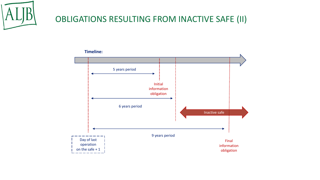

### OBLIGATIONS RESULTING FROM INACTIVE SAFE (II)

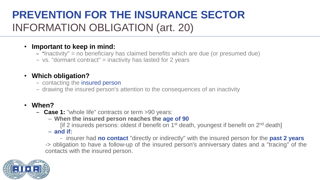## **PREVENTION FOR THE INSURANCE SECTOR**  INFORMATION OBLIGATION (art. 20)

#### • **Important to keep in mind:**

- ‒ "Inactivity" = no beneficiary has claimed benefits which are due (or presumed due)
- ‒ vs. "dormant contract" = inactivity has lasted for 2 years

#### • **Which obligation?**

- contacting the insured person
- ‒ drawing the insured person's attention to the consequences of an inactivity

#### • **When?**

- ‒ **Case 1:** "whole life" contracts or term >90 years:
	- **When the insured person reaches the age of 90**

[if 2 insureds persons: oldest if benefit on 1<sup>st</sup> death, youngest if benefit on 2<sup>nd</sup> death]

– **and if:**

- insurer had **no contact** "directly or indirectly" with the insured person for the **past 2 years** -> obligation to have a follow-up of the insured person's anniversary dates and a "tracing" of the contacts with the insured person.

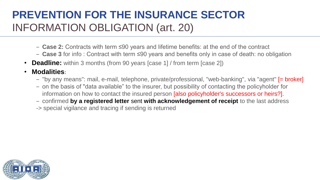## **PREVENTION FOR THE INSURANCE SECTOR**  INFORMATION OBLIGATION (art. 20)

- ‒ **Case 2:** Contracts with term ≤90 years and lifetime benefits: at the end of the contract
- ‒ **Case 3** for info : Contract with term ≤90 years and benefits only in case of death: no obligation
- **Deadline:** within 3 months (from 90 years [case 1] / from term [case 2])
- **Modalities:**
	- ‒ "by any means": mail, e-mail, telephone, private/professional, "web-banking", via "agent" [= broker]
	- ‒ on the basis of "data available" to the insurer, but possibility of contacting the policyholder for information on how to contact the insured person [also policyholder's successors or heirs?].
	- ‒ confirmed **by a registered letter** sent **with acknowledgement of receipt** to the last address
	- -> special vigilance and tracing if sending is returned

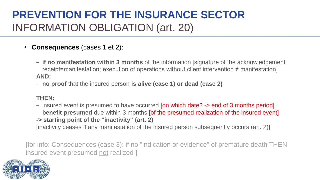## **PREVENTION FOR THE INSURANCE SECTOR** INFORMATION OBLIGATION (art. 20)

- **Consequences** (cases 1 et 2):
	- ‒ **if no manifestation within 3 months** of the information [signature of the acknowledgement receipt=manifestation; execution of operations without client intervention ≠ manifestation] **AND:**
	- ‒ **no proof** that the insured person **is alive (case 1) or dead (case 2)**

#### **THEN:**

- insured event is presumed to have occurred [on which date? -> end of 3 months period]
- ‒ **benefit presumed** due within 3 months [of the presumed realization of the insured event]
- **-> starting point of the "inactivity" (art. 2)**

[inactivity ceases if any manifestation of the insured person subsequently occurs (art. 2)]

[for info: Consequences (case 3): if no "indication or evidence" of premature death THEN insured event presumed not realized ]

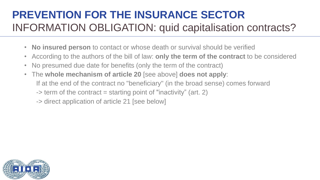## **PREVENTION FOR THE INSURANCE SECTOR**  INFORMATION OBLIGATION: quid capitalisation contracts?

- **No insured person** to contact or whose death or survival should be verified
- According to the authors of the bill of law: **only the term of the contract** to be considered
- No presumed due date for benefits (only the term of the contract)
- The **whole mechanism of article 20** [see above] **does not apply**: If at the end of the contract no "beneficiary" (in the broad sense) comes forward  $\rightarrow$  term of the contract = starting point of "inactivity" (art. 2)

-> direct application of article 21 [see below]

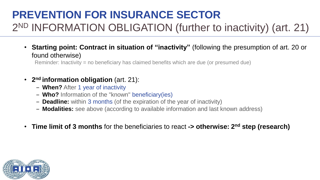## **PREVENTION FOR INSURANCE SECTOR**  2<sup>ND</sup> INFORMATION OBLIGATION (further to inactivity) (art. 21)

• **Starting point: Contract in situation of "inactivity"** (following the presumption of art. 20 or found otherwise)

Reminder: Inactivity = no beneficiary has claimed benefits which are due (or presumed due)

#### • **2 nd information obligation** (art. 21):

- ‒ **When?** After 1 year of inactivity
- ‒ **Who?** Information of the "known" beneficiary(ies)
- ‒ **Deadline:** within 3 months (of the expiration of the year of inactivity)
- ‒ **Modalities:** see above (according to available information and last known address)
- **Time limit of 3 months** for the beneficiaries to react **-> otherwise: 2 nd step (research)**

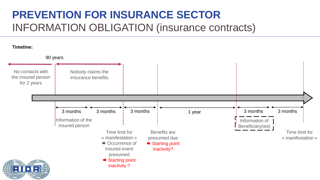## **PREVENTION FOR INSURANCE SECTOR** INFORMATION OBLIGATION (insurance contracts)

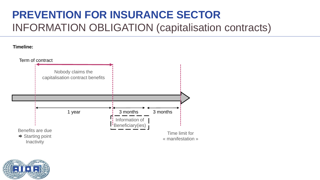## **PREVENTION FOR INSURANCE SECTOR** INFORMATION OBLIGATION (capitalisation contracts)

#### **Timeline:**



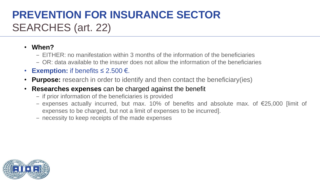## **PREVENTION FOR INSURANCE SECTOR**  SEARCHES (art. 22)

#### • **When?**

- ‒ EITHER: no manifestation within 3 months of the information of the beneficiaries
- ‒ OR: data available to the insurer does not allow the information of the beneficiaries
- **Exemption:** if benefits  $\leq 2.500 \in$ .
- **Purpose:** research in order to identify and then contact the beneficiary(ies)
- **Researches expenses** can be charged against the benefit
	- ‒ if prior information of the beneficiaries is provided
	- ‒ expenses actually incurred, but max. 10% of benefits and absolute max. of €25,000 [limit of expenses to be charged, but not a limit of expenses to be incurred].
	- ‒ necessity to keep receipts of the made expenses

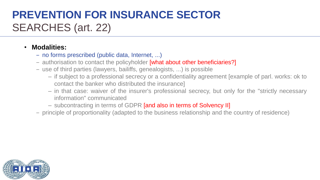## **PREVENTION FOR INSURANCE SECTOR**  SEARCHES (art. 22)

#### • **Modalities:**

- ‒ no forms prescribed (public data, Internet, ...)
- authorisation to contact the policyholder **[what about other beneficiaries?]**
- ‒ use of third parties (lawyers, bailiffs, genealogists, ...) is possible
	- if subject to a professional secrecy or a confidentiality agreement [example of parl. works: ok to contact the banker who distributed the insurance]
	- in that case: waiver of the insurer's professional secrecy, but only for the "strictly necessary information" communicated
	- subcontracting in terms of GDPR [and also in terms of Solvency II]
- ‒ principle of proportionality (adapted to the business relationship and the country of residence)

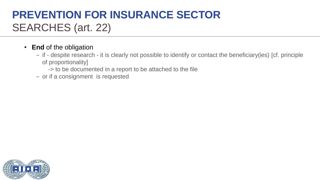## **PREVENTION FOR INSURANCE SECTOR**  SEARCHES (art. 22)

#### • **End** of the obligation

- ‒ if despite research it is clearly not possible to identify or contact the beneficiary(ies) [cf. principle of proportionality]
	- -> to be documented in a report to be attached to the file
- or if a consignment is requested

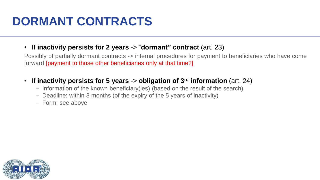# **DORMANT CONTRACTS**

#### • If **inactivity persists for 2 years** -> "**dormant" contract** (art. 23)

Possibly of partially dormant contracts -> internal procedures for payment to beneficiaries who have come forward [payment to those other beneficiaries only at that time?]

#### • If **inactivity persists for 5 years** -> **obligation of 3 rd information** (art. 24)

- ‒ Information of the known beneficiary(ies) (based on the result of the search)
- ‒ Deadline: within 3 months (of the expiry of the 5 years of inactivity)
- ‒ Form: see above

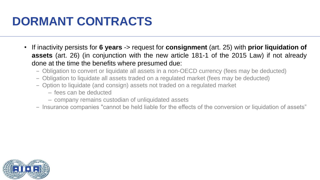# **DORMANT CONTRACTS**

- If inactivity persists for **6 years** -> request for **consignment** (art. 25) with **prior liquidation of assets** (art. 26) (in conjunction with the new article 181-1 of the 2015 Law) if not already done at the time the benefits where presumed due:
	- ‒ Obligation to convert or liquidate all assets in a non-OECD currency (fees may be deducted)
	- ‒ Obligation to liquidate all assets traded on a regulated market (fees may be deducted)
	- ‒ Option to liquidate (and consign) assets not traded on a regulated market
		- fees can be deducted
		- company remains custodian of unliquidated assets
	- ‒ Insurance companies "cannot be held liable for the effects of the conversion or liquidation of assets"

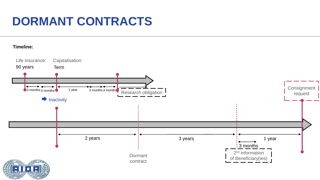# **DORMANT CONTRACTS**

#### **Timeline:**

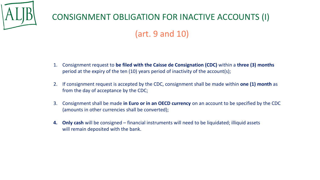

### CONSIGNMENT OBLIGATION FOR INACTIVE ACCOUNTS (I)

### (art. 9 and 10)

- 1. Consignment request to **be filed with the Caisse de Consignation (CDC)** within a **three (3) months**  period at the expiry of the ten (10) years period of inactivity of the account(s);
- 2. If consignment request is accepted by the CDC, consignment shall be made within **one (1) month** as from the day of acceptance by the CDC;
- 3. Consignment shall be made **in Euro or in an OECD currency** on an account to be specified by the CDC (amounts in other currencies shall be converted);
- **4. Only cash** will be consigned financial instruments will need to be liquidated; illiquid assets will remain deposited with the bank.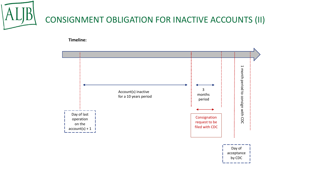

**Timeline:**

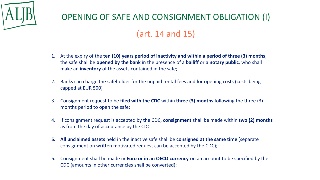

### OPENING OF SAFE AND CONSIGNMENT OBLIGATION (I)

### (art. 14 and 15)

- 1. At the expiry of the **ten (10) years period of inactivity and within a period of three (3) months**, the safe shall be **opened by the bank** in the presence of a **bailiff** or a **notary public**, who shall make an **inventory** of the assets contained in the safe;
- 2. Banks can charge the safeholder for the unpaid rental fees and for opening costs (costs being capped at EUR 500)
- 3. Consignment request to be **filed with the CDC** within **three (3) months** following the three (3) months period to open the safe;
- 4. If consignment request is accepted by the CDC, **consignment** shall be made within **two (2) months**  as from the day of acceptance by the CDC;
- **5. All unclaimed assets** held in the inactive safe shall be **consigned at the same time** (separate consignment on written motivated request can be accepted by the CDC);
- 6. Consignment shall be made **in Euro or in an OECD currency** on an account to be specified by the CDC (amounts in other currencies shall be converted);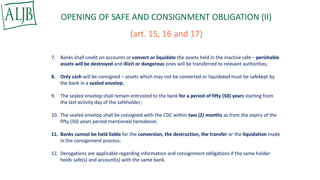

## OPENING OF SAFE AND CONSIGNMENT OBLIGATION (II) (art. 15, 16 and 17)

- 7. Banks shall credit on accounts or **convert or liquidate** the assets held in the inactive safe **perishable assets will be destroyed** and **illicit or dangerous** ones will be transferred to relevant authorities;
- **8. Only cash** will be consigned assets which may not be converted or liquidated must be safekept by the bank in a **sealed envelop**;
- 9. The sealed envelop shall remain entrusted to the bank **for a period of fifty (50) years** starting from the last activity day of the safeholder;
- 10. The sealed envelop shall be consigned with the CDC within **two (2) months** as from the expiry of the fifty (50) years period mentioned hereabove;
- **11. Banks cannot be held liable** for the **conversion, the destruction, the transfer** or the **liquidation** made in the consignment process;
- 12. Derogations are applicable regarding information and consignment obligations if the same holder holds safe(s) and account(s) with the same bank.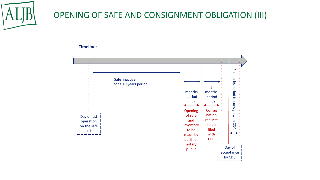

### OPENING OF SAFE AND CONSIGNMENT OBLIGATION (III)

#### **Timeline:**

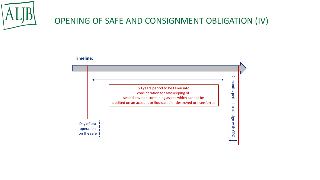

### OPENING OF SAFE AND CONSIGNMENT OBLIGATION (IV)

#### **Timeline:**

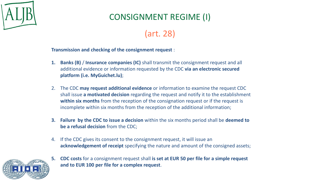

### CONSIGNMENT REGIME (I)

### (art. 28)

#### **Transmission and checking of the consignment request** :

- **1. Banks (B)** / **Insurance companies (IC)** shall transmit the consignment request and all additional evidence or information requested by the CDC **via an electronic secured platform (i.e. MyGuichet.lu)**;
- 2. The CDC **may request additional evidence** or information to examine the request CDC shall issue **a motivated decision** regarding the request and notify it to the establishment **within six months** from the reception of the consignation request or if the request is incomplete within six months from the reception of the additional information;
- **3. Failure by the CDC to issue a decision** within the six months period shall be **deemed to be a refusal decision** from the CDC;
- 4. If the CDC gives its consent to the consignment request, it will issue an **acknowledgement of receipt** specifying the nature and amount of the consigned assets;



**5. CDC costs** for a consignment request shall **is set at EUR 50 per file for a simple request and to EUR 100 per file for a complex request**.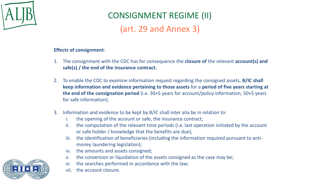

## CONSIGNMENT REGIME (II)

(art. 29 and Annex 3)

#### **Effects of consignment**:

- 1. The consignment with the CDC has for consequence the **closure of** the relevant **account(s) and safe(s) / the end of the insurance contract**;
- 2. To enable the CDC to examine information request regarding the consigned assets, **B/IC shall keep information and evidence pertaining to those assets** for a **period of five years starting at the end of the consignation period** (i.e. 30+5 years for account/policy information, 50+5 years for safe information);
- 3. Information and evidence to be kept by B/IC shall inter alia be in relation to:
	- i. the opening of the account or safe, the insurance contract;
	- ii. the computation of the relevant time periods (i.e. last operation initiated by the account or safe holder / knowledge that the benefits are due);
	- iii. the identification of beneficiaries (including the information required pursuant to antimoney laundering legislation);
	- iv. the amounts and assets consigned;
	- v. the conversion or liquidation of the assets consigned as the case may be;
	- vi. the searches performed in accordance with the law;
	- vii. the account closure.

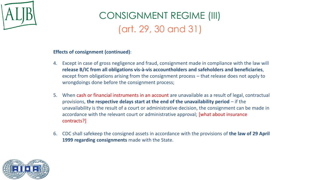

## CONSIGNMENT REGIME (III) (art. 29, 30 and 31)

#### **Effects of consignment (continued)**:

- 4. Except in case of gross negligence and fraud, consignment made in compliance with the law will **release B/IC from all obligations vis-à-vis accountholders and safeholders and beneficiaries**, except from obligations arising from the consignment process – that release does not apply to wrongdoings done before the consignment process;
- 5. When cash or financial instruments in an account are unavailable as a result of legal, contractual provisions, **the respective delays start at the end of the unavailability period** – if the unavailability is the result of a court or administrative decision, the consignment can be made in accordance with the relevant court or administrative approval; [what about insurance contracts?]
- 6. CDC shall safekeep the consigned assets in accordance with the provisions of **the law of 29 April 1999 regarding consignments** made with the State.

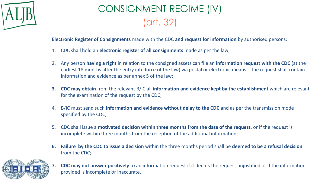

## CONSIGNMENT REGIME (IV) (art. 32)

**Electronic Register of Consignments** made with the CDC **and request for information** by authorised persons:

- 1. CDC shall hold an **electronic register of all consignments** made as per the law;
- 2. Any person **having a right** in relation to the consigned assets can file an **information request with the CDC** (at the earliest 18 months after the entry into force of the law) via postal or electronic means - the request shall contain information and evidence as per annex 5 of the law;
- **3. CDC may obtain** from the relevant B/IC all **information and evidence kept by the establishment** which are relevant for the examination of the request by the CDC;
- 4. B/IC must send such **information and evidence without delay to the CDC** and as per the transmission mode specified by the CDC;
- 5. CDC shall issue a **motivated decision within three months from the date of the request**, or if the request is incomplete within three months from the reception of the additional information;
- **6. Failure by the CDC to issue a decision** within the three months period shall be **deemed to be a refusal decision** from the CDC;



**7. CDC may not answer positively** to an information request if it deems the request unjustified or if the information provided is incomplete or inaccurate.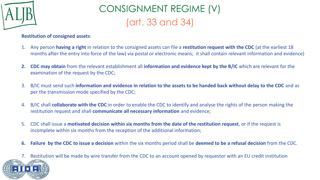

## CONSIGNMENT REGIME (V) (art. 33 and 34)

#### **Restitution of consigned assets**:

- 1. Any person **having a right** in relation to the consigned assets can file a **restitution request with the CDC** (at the earliest 18 months after the entry into force of the law) via postal or electronic means; it shall contain relevant information and evidence)
- **2. CDC may obtain** from the relevant establishment all **information and evidence kept by the B/IC** which are relevant for the examination of the request by the CDC;
- 3. B/IC must send such **information and evidence in relation to the assets to be handed back without delay to the CDC** and as per the transmission mode specified by the CDC;
- 4. B/IC shall **collaborate with the CDC** in order to enable the CDC to identify and analyse the rights of the person making the restitution request and shall **communicate all necessary information** and evidence;
- 5. CDC shall issue a **motivated decision within six months from the date of the restitution request**, or if the request is incomplete within six months from the reception of the additional information;
- **6. Failure by the CDC to issue a decision** within the six months period shall be **deemed to be a refusal decision** from the CDC.
- 7. Restitution will be made by wire transfer from the CDC to an account opened by requestor with an EU credit institution

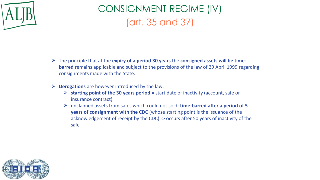

## CONSIGNMENT REGIME (IV) (art. 35 and 37)

- ➢ The principle that at the **expiry of a period 30 years** the **consigned assets will be timebarred** remains applicable and subject to the provisions of the law of 29 April 1999 regarding consignments made with the State.
- ➢ **Derogations** are however introduced by the law:
	- ➢ **starting point of the 30 years period** = start date of inactivity (account, safe or insurance contract)
	- ➢ unclaimed assets from safes which could not sold: **time-barred after a period of 5 years of consignment with the CDC** (whose starting point is the issuance of the acknowledgement of receipt by the CDC) -> occurs after 50 years of inactivity of the safe

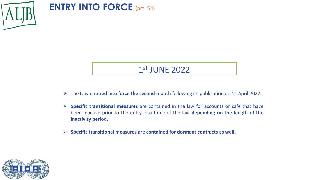

**ENTRY INTO FORCE** (art. 54)

### 1 st JUNE 2022

- ➢ The Law **entered into force the second month** following its publication on 1 st April 2022.
- ➢ **Specific transitional measures** are contained in the law for accounts or safe that have been inactive prior to the entry into force of the law **depending on the length of the inactivity period.**
- ➢ **Specific transitional measures are contained for dormant contracts as well.**

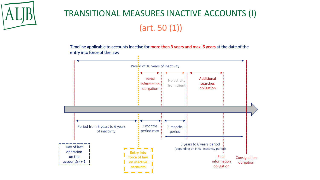

## TRANSITIONAL MEASURES INACTIVE ACCOUNTS (I) (art. 50 (1))

Timeline applicable to accounts inactive for more than 3 years and max. 6 years at the date of the entry into force of the law:

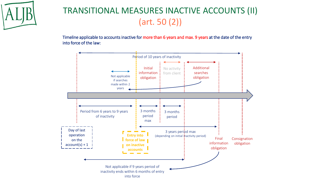

## TRANSITIONAL MEASURES INACTIVE ACCOUNTS (II) (art. 50 (2))

Timeline applicable to accounts inactive for more than 6 years and max. 9 years at the date of the entry into force of the law:

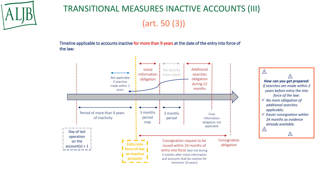

## TRANSITIONAL MEASURES INACTIVE ACCOUNTS (III) (art. 50 (3))

Timeline applicable to accounts inactive for more than 9 years at the date of the entry into force of the law:

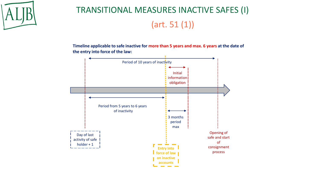

## TRANSITIONAL MEASURES INACTIVE SAFES (I) (art. 51 (1))

**Timeline applicable to safe inactive for more than 5 years and max. 6 years at the date of the entry into force of the law:**

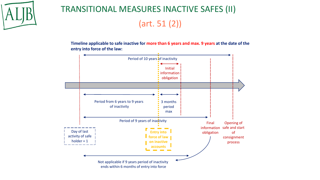

## TRANSITIONAL MEASURES INACTIVE SAFES (II) (art. 51 (2))

**Timeline applicable to safe inactive for more than 6 years and max. 9 years at the date of the entry into force of the law:**

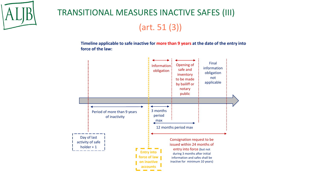

## TRANSITIONAL MEASURES INACTIVE SAFES (III) (art. 51 (3))

**Timeline applicable to safe inactive for more than 9 years at the date of the entry into force of the law:**

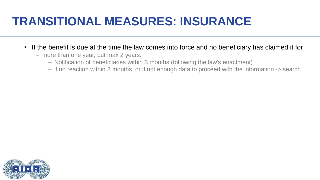- If the benefit is due at the time the law comes into force and no beneficiary has claimed it for
	- more than one year, but max 2 years:
		- Notification of beneficiaries within 3 months (following the law's enactment)
		- if no reaction within 3 months, or if not enough data to proceed with the information -> search

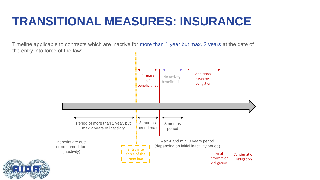Timeline applicable to contracts which are inactive for more than 1 year but max. 2 years at the date of the entry into force of the law:



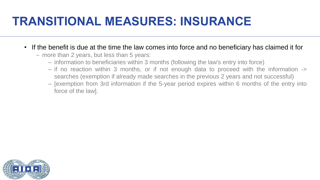- If the benefit is due at the time the law comes into force and no beneficiary has claimed it for
	- more than 2 years, but less than 5 years:
		- information to beneficiaries within 3 months (following the law's entry into force)
		- if no reaction within 3 months, or if not enough data to proceed with the information -> searches (exemption if already made searches in the previous 2 years and not successful)
		- [exemption from 3rd information if the 5-year period expires within 6 months of the entry into force of the law].

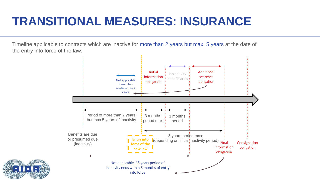Timeline applicable to contracts which are inactive for more than 2 years but max. 5 years at the date of the entry into force of the law:



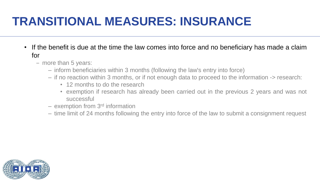- If the benefit is due at the time the law comes into force and no beneficiary has made a claim for
	- more than 5 years:
		- inform beneficiaries within 3 months (following the law's entry into force)
		- if no reaction within 3 months, or if not enough data to proceed to the information -> research:
			- 12 months to do the research
			- exemption if research has already been carried out in the previous 2 years and was not successful
		- exemption from 3<sup>rd</sup> information
		- time limit of 24 months following the entry into force of the law to submit a consignment request

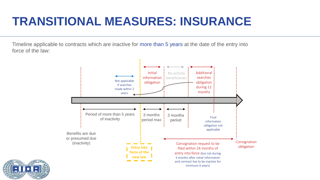Timeline applicable to contracts which are inactive for more than 5 years at the date of the entry into force of the law:



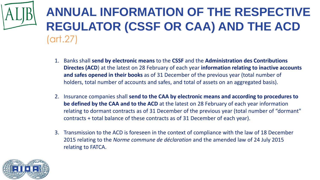# **ANNUAL INFORMATION OF THE RESPECTIVE REGULATOR (CSSF OR CAA) AND THE ACD**  (art.27)

- 1. Banks shall **send by electronic means** to the **CSSF** and the **Administration des Contributions Directes (ACD**) at the latest on 28 February of each year **information relating to inactive accounts and safes opened in their books** as of 31 December of the previous year (total number of holders, total number of accounts and safes, and total of assets on an aggregated basis).
- 2. Insurance companies shall **send to the CAA by electronic means and according to procedures to be defined by the CAA and to the ACD** at the latest on 28 February of each year information relating to dormant contracts as of 31 December of the previous year (total number of "dormant" contracts + total balance of these contracts as of 31 December of each year).
- 3. Transmission to the ACD is foreseen in the context of compliance with the law of 18 December 2015 relating to the *Norme commune de déclaration* and the amended law of 24 July 2015 relating to FATCA.

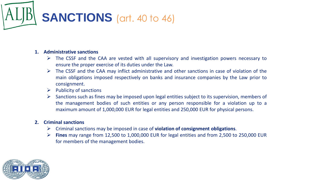

#### **1. Administrative sanctions**

- ➢ The CSSF and the CAA are vested with all supervisory and investigation powers necessary to ensure the proper exercise of its duties under the Law.
- $\triangleright$  The CSSF and the CAA may inflict administrative and other sanctions in case of violation of the main obligations imposed respectively on banks and insurance companies by the Law prior to consignment.
- $\triangleright$  Publicity of sanctions
- $\triangleright$  Sanctions such as fines may be imposed upon legal entities subject to its supervision, members of the management bodies of such entities or any person responsible for a violation up to a maximum amount of 1,000,000 EUR for legal entities and 250,000 EUR for physical persons.

#### **2. Criminal sanctions**

- ➢ Criminal sanctions may be imposed in case of **violation of consignment obligations**.
- ➢ **Fines** may range from 12,500 to 1,000,000 EUR for legal entities and from 2,500 to 250,000 EUR for members of the management bodies.

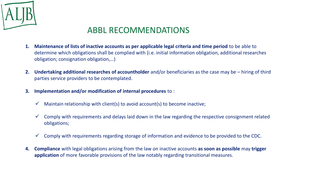

#### ABBL RECOMMENDATIONS

- **1. Maintenance of lists of inactive accounts as per applicable legal criteria and time period** to be able to determine which obligations shall be complied with (i.e. initial information obligation, additional researches obligation; consignation obligation,…)
- **2. Undertaking additional researches of accountholder** and/or beneficiaries as the case may be hiring of third parties service providers to be contemplated.
- **3. Implementation and/or modification of internal procedures** to :
	- $\checkmark$  Maintain relationship with client(s) to avoid account(s) to become inactive;
	- $\checkmark$  Comply with requirements and delays laid down in the law regarding the respective consignment related obligations;
	- $\checkmark$  Comply with requirements regarding storage of information and evidence to be provided to the CDC.
- **4. Compliance** with legal obligations arising from the law on inactive accounts **as soon as possible** may **trigger application** of more favorable provisions of the law notably regarding transitional measures.